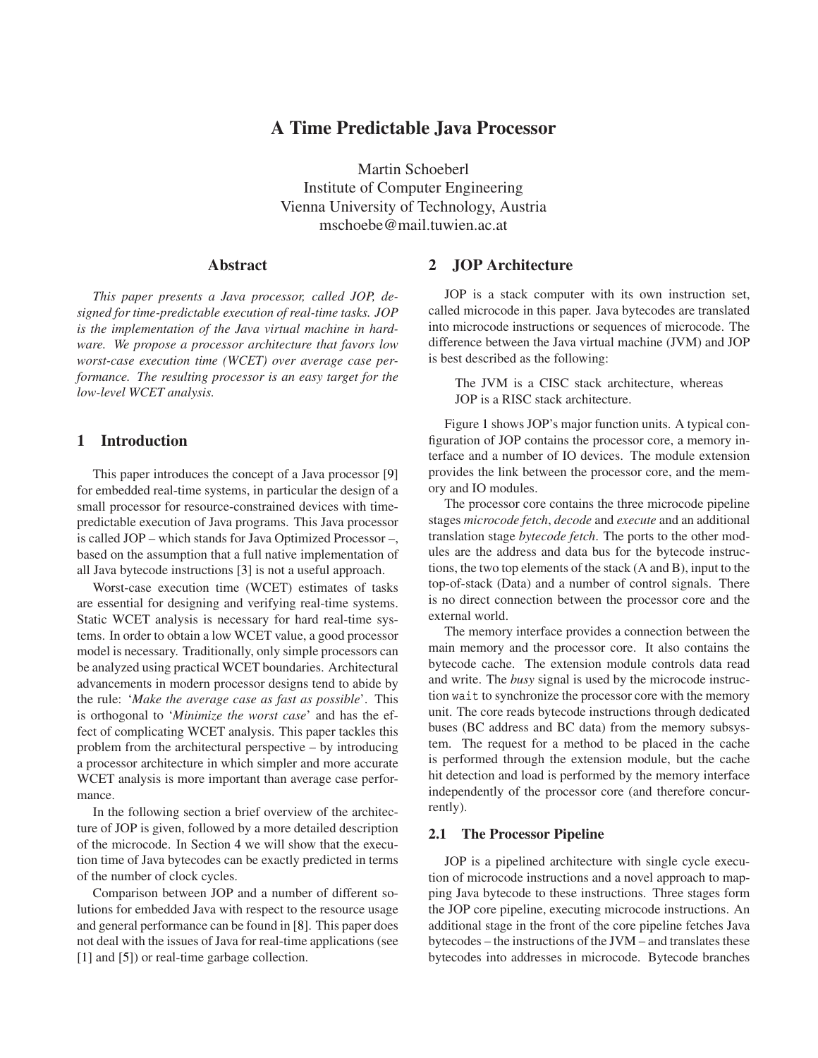# **A Time Predictable Java Processor**

Martin Schoeberl Institute of Computer Engineering Vienna University of Technology, Austria mschoebe@mail.tuwien.ac.at

# **Abstract**

*This paper presents a Java processor, called JOP, designed for time-predictable execution of real-time tasks. JOP is the implementation of the Java virtual machine in hardware. We propose a processor architecture that favors low worst-case execution time (WCET) over average case performance. The resulting processor is an easy target for the low-level WCET analysis.*

# **1 Introduction**

This paper introduces the concept of a Java processor [9] for embedded real-time systems, in particular the design of a small processor for resource-constrained devices with timepredictable execution of Java programs. This Java processor is called JOP – which stands for Java Optimized Processor –, based on the assumption that a full native implementation of all Java bytecode instructions [3] is not a useful approach.

Worst-case execution time (WCET) estimates of tasks are essential for designing and verifying real-time systems. Static WCET analysis is necessary for hard real-time systems. In order to obtain a low WCET value, a good processor model is necessary. Traditionally, only simple processors can be analyzed using practical WCET boundaries. Architectural advancements in modern processor designs tend to abide by the rule: '*Make the average case as fast as possible*'. This is orthogonal to '*Minimize the worst case*' and has the effect of complicating WCET analysis. This paper tackles this problem from the architectural perspective – by introducing a processor architecture in which simpler and more accurate WCET analysis is more important than average case performance.

In the following section a brief overview of the architecture of JOP is given, followed by a more detailed description of the microcode. In Section 4 we will show that the execution time of Java bytecodes can be exactly predicted in terms of the number of clock cycles.

Comparison between JOP and a number of different solutions for embedded Java with respect to the resource usage and general performance can be found in [8]. This paper does not deal with the issues of Java for real-time applications (see [1] and [5]) or real-time garbage collection.

# **2 JOP Architecture**

JOP is a stack computer with its own instruction set, called microcode in this paper. Java bytecodes are translated into microcode instructions or sequences of microcode. The difference between the Java virtual machine (JVM) and JOP is best described as the following:

The JVM is a CISC stack architecture, whereas JOP is a RISC stack architecture.

Figure 1 shows JOP's major function units. A typical configuration of JOP contains the processor core, a memory interface and a number of IO devices. The module extension provides the link between the processor core, and the memory and IO modules.

The processor core contains the three microcode pipeline stages *microcode fetch*, *decode* and *execute* and an additional translation stage *bytecode fetch*. The ports to the other modules are the address and data bus for the bytecode instructions, the two top elements of the stack (A and B), input to the top-of-stack (Data) and a number of control signals. There is no direct connection between the processor core and the external world.

The memory interface provides a connection between the main memory and the processor core. It also contains the bytecode cache. The extension module controls data read and write. The *busy* signal is used by the microcode instruction wait to synchronize the processor core with the memory unit. The core reads bytecode instructions through dedicated buses (BC address and BC data) from the memory subsystem. The request for a method to be placed in the cache is performed through the extension module, but the cache hit detection and load is performed by the memory interface independently of the processor core (and therefore concurrently).

### **2.1 The Processor Pipeline**

JOP is a pipelined architecture with single cycle execution of microcode instructions and a novel approach to mapping Java bytecode to these instructions. Three stages form the JOP core pipeline, executing microcode instructions. An additional stage in the front of the core pipeline fetches Java bytecodes – the instructions of the JVM – and translates these bytecodes into addresses in microcode. Bytecode branches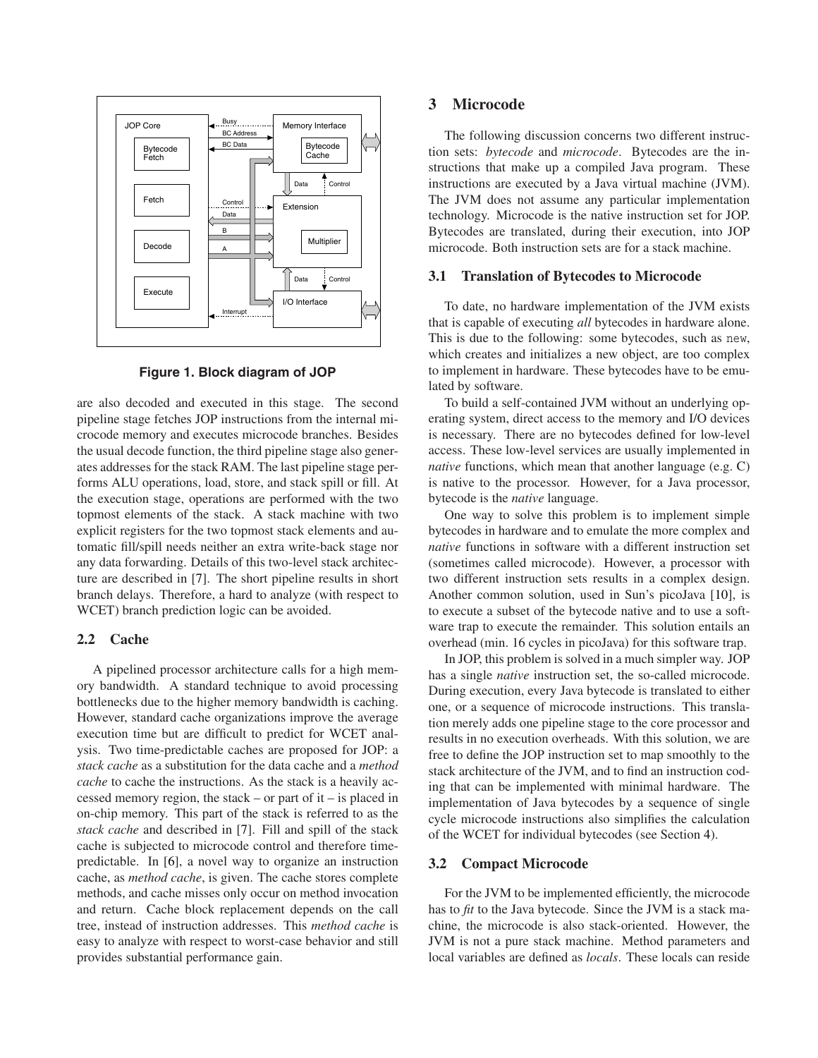

**Figure 1. Block diagram of JOP**

are also decoded and executed in this stage. The second pipeline stage fetches JOP instructions from the internal microcode memory and executes microcode branches. Besides the usual decode function, the third pipeline stage also generates addresses for the stack RAM. The last pipeline stage performs ALU operations, load, store, and stack spill or fill. At the execution stage, operations are performed with the two topmost elements of the stack. A stack machine with two explicit registers for the two topmost stack elements and automatic fill/spill needs neither an extra write-back stage nor any data forwarding. Details of this two-level stack architecture are described in [7]. The short pipeline results in short branch delays. Therefore, a hard to analyze (with respect to WCET) branch prediction logic can be avoided.

### **2.2 Cache**

A pipelined processor architecture calls for a high memory bandwidth. A standard technique to avoid processing bottlenecks due to the higher memory bandwidth is caching. However, standard cache organizations improve the average execution time but are difficult to predict for WCET analysis. Two time-predictable caches are proposed for JOP: a *stack cache* as a substitution for the data cache and a *method cache* to cache the instructions. As the stack is a heavily accessed memory region, the stack – or part of it – is placed in on-chip memory. This part of the stack is referred to as the *stack cache* and described in [7]. Fill and spill of the stack cache is subjected to microcode control and therefore timepredictable. In [6], a novel way to organize an instruction cache, as *method cache*, is given. The cache stores complete methods, and cache misses only occur on method invocation and return. Cache block replacement depends on the call tree, instead of instruction addresses. This *method cache* is easy to analyze with respect to worst-case behavior and still provides substantial performance gain.

## **3 Microcode**

The following discussion concerns two different instruction sets: *bytecode* and *microcode*. Bytecodes are the instructions that make up a compiled Java program. These instructions are executed by a Java virtual machine (JVM). The JVM does not assume any particular implementation technology. Microcode is the native instruction set for JOP. Bytecodes are translated, during their execution, into JOP microcode. Both instruction sets are for a stack machine.

#### **3.1 Translation of Bytecodes to Microcode**

To date, no hardware implementation of the JVM exists that is capable of executing *all* bytecodes in hardware alone. This is due to the following: some bytecodes, such as new, which creates and initializes a new object, are too complex to implement in hardware. These bytecodes have to be emulated by software.

To build a self-contained JVM without an underlying operating system, direct access to the memory and I/O devices is necessary. There are no bytecodes defined for low-level access. These low-level services are usually implemented in *native* functions, which mean that another language (e.g. C) is native to the processor. However, for a Java processor, bytecode is the *native* language.

One way to solve this problem is to implement simple bytecodes in hardware and to emulate the more complex and *native* functions in software with a different instruction set (sometimes called microcode). However, a processor with two different instruction sets results in a complex design. Another common solution, used in Sun's picoJava [10], is to execute a subset of the bytecode native and to use a software trap to execute the remainder. This solution entails an overhead (min. 16 cycles in picoJava) for this software trap.

In JOP, this problem is solved in a much simpler way. JOP has a single *native* instruction set, the so-called microcode. During execution, every Java bytecode is translated to either one, or a sequence of microcode instructions. This translation merely adds one pipeline stage to the core processor and results in no execution overheads. With this solution, we are free to define the JOP instruction set to map smoothly to the stack architecture of the JVM, and to find an instruction coding that can be implemented with minimal hardware. The implementation of Java bytecodes by a sequence of single cycle microcode instructions also simplifies the calculation of the WCET for individual bytecodes (see Section 4).

#### **3.2 Compact Microcode**

For the JVM to be implemented efficiently, the microcode has to *fit* to the Java bytecode. Since the JVM is a stack machine, the microcode is also stack-oriented. However, the JVM is not a pure stack machine. Method parameters and local variables are defined as *locals*. These locals can reside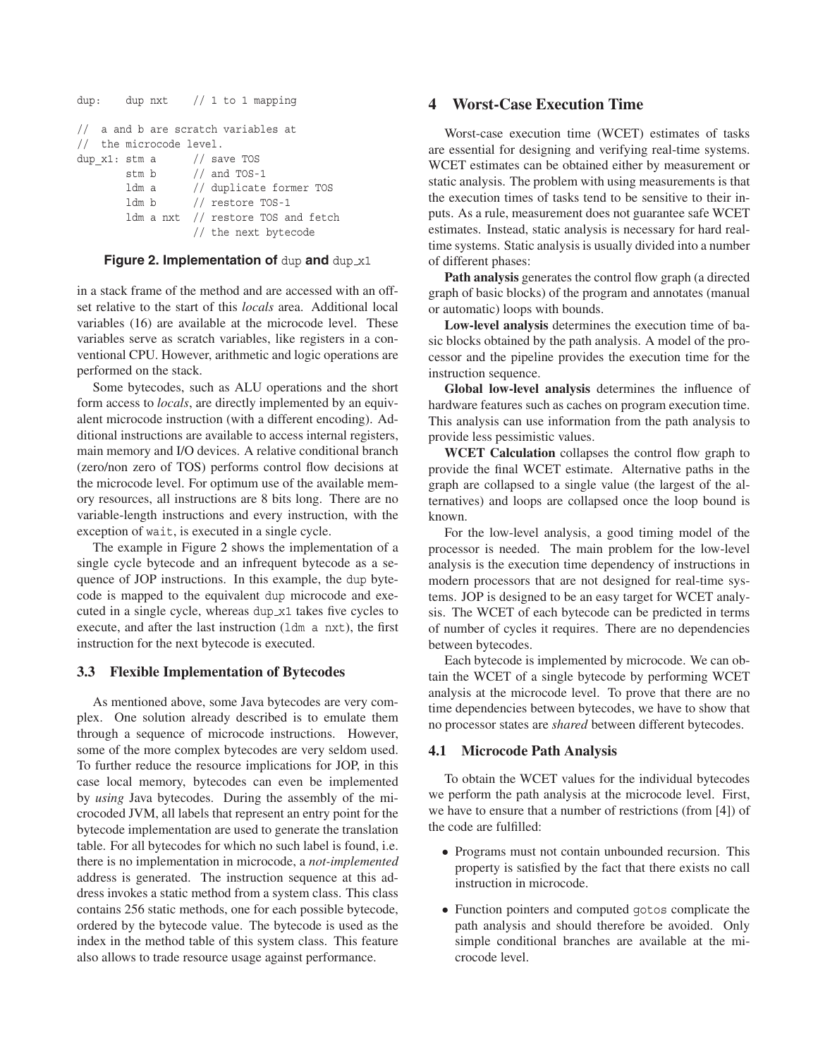```
dup: dup nxt // 1 to 1 mapping
// a and b are scratch variables at
// the microcode level.
dup x1: stm a // save TOS
       stm b // and TOS-1
       ldm a // duplicate former TOS
       ldm b // restore TOS-1
       ldm a nxt // restore TOS and fetch
                 // the next bytecode
```
#### **Figure 2. Implementation of** dup **and** dup x1

in a stack frame of the method and are accessed with an offset relative to the start of this *locals* area. Additional local variables (16) are available at the microcode level. These variables serve as scratch variables, like registers in a conventional CPU. However, arithmetic and logic operations are performed on the stack.

Some bytecodes, such as ALU operations and the short form access to *locals*, are directly implemented by an equivalent microcode instruction (with a different encoding). Additional instructions are available to access internal registers, main memory and I/O devices. A relative conditional branch (zero/non zero of TOS) performs control flow decisions at the microcode level. For optimum use of the available memory resources, all instructions are 8 bits long. There are no variable-length instructions and every instruction, with the exception of wait, is executed in a single cycle.

The example in Figure 2 shows the implementation of a single cycle bytecode and an infrequent bytecode as a sequence of JOP instructions. In this example, the dup bytecode is mapped to the equivalent dup microcode and executed in a single cycle, whereas dup x1 takes five cycles to execute, and after the last instruction (ldm a nxt), the first instruction for the next bytecode is executed.

### **3.3 Flexible Implementation of Bytecodes**

As mentioned above, some Java bytecodes are very complex. One solution already described is to emulate them through a sequence of microcode instructions. However, some of the more complex bytecodes are very seldom used. To further reduce the resource implications for JOP, in this case local memory, bytecodes can even be implemented by *using* Java bytecodes. During the assembly of the microcoded JVM, all labels that represent an entry point for the bytecode implementation are used to generate the translation table. For all bytecodes for which no such label is found, i.e. there is no implementation in microcode, a *not-implemented* address is generated. The instruction sequence at this address invokes a static method from a system class. This class contains 256 static methods, one for each possible bytecode, ordered by the bytecode value. The bytecode is used as the index in the method table of this system class. This feature also allows to trade resource usage against performance.

# **4 Worst-Case Execution Time**

Worst-case execution time (WCET) estimates of tasks are essential for designing and verifying real-time systems. WCET estimates can be obtained either by measurement or static analysis. The problem with using measurements is that the execution times of tasks tend to be sensitive to their inputs. As a rule, measurement does not guarantee safe WCET estimates. Instead, static analysis is necessary for hard realtime systems. Static analysis is usually divided into a number of different phases:

**Path analysis** generates the control flow graph (a directed graph of basic blocks) of the program and annotates (manual or automatic) loops with bounds.

**Low-level analysis** determines the execution time of basic blocks obtained by the path analysis. A model of the processor and the pipeline provides the execution time for the instruction sequence.

**Global low-level analysis** determines the influence of hardware features such as caches on program execution time. This analysis can use information from the path analysis to provide less pessimistic values.

**WCET Calculation** collapses the control flow graph to provide the final WCET estimate. Alternative paths in the graph are collapsed to a single value (the largest of the alternatives) and loops are collapsed once the loop bound is known.

For the low-level analysis, a good timing model of the processor is needed. The main problem for the low-level analysis is the execution time dependency of instructions in modern processors that are not designed for real-time systems. JOP is designed to be an easy target for WCET analysis. The WCET of each bytecode can be predicted in terms of number of cycles it requires. There are no dependencies between bytecodes.

Each bytecode is implemented by microcode. We can obtain the WCET of a single bytecode by performing WCET analysis at the microcode level. To prove that there are no time dependencies between bytecodes, we have to show that no processor states are *shared* between different bytecodes.

### **4.1 Microcode Path Analysis**

To obtain the WCET values for the individual bytecodes we perform the path analysis at the microcode level. First, we have to ensure that a number of restrictions (from [4]) of the code are fulfilled:

- Programs must not contain unbounded recursion. This property is satisfied by the fact that there exists no call instruction in microcode.
- Function pointers and computed gotos complicate the path analysis and should therefore be avoided. Only simple conditional branches are available at the microcode level.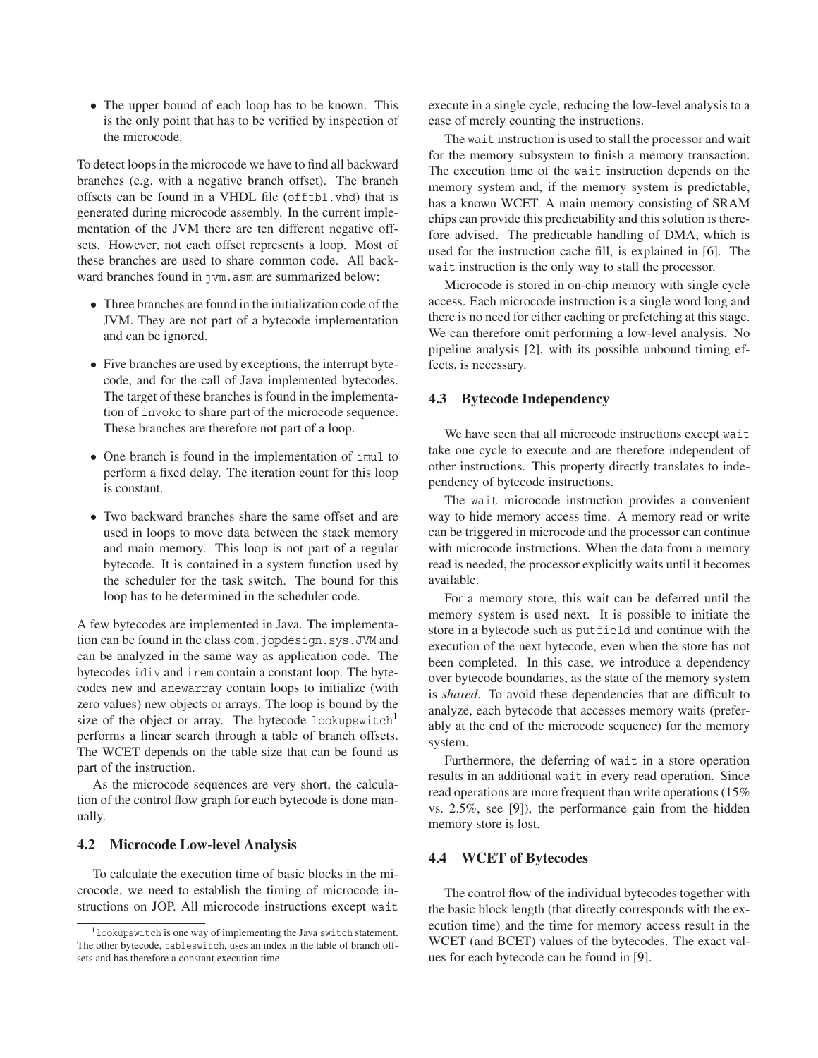• The upper bound of each loop has to be known. This is the only point that has to be verified by inspection of the microcode.

To detect loops in the microcode we have to find all backward branches (e.g. with a negative branch offset). The branch offsets can be found in a VHDL file (offtbl.vhd) that is generated during microcode assembly. In the current implementation of the JVM there are ten different negative offsets. However, not each offset represents a loop. Most of these branches are used to share common code. All backward branches found in  $\gamma$ m. asm are summarized below:

- Three branches are found in the initialization code of the JVM. They are not part of a bytecode implementation and can be ignored.
- Five branches are used by exceptions, the interrupt bytecode, and for the call of Java implemented bytecodes. The target of these branches is found in the implementation of invoke to share part of the microcode sequence. These branches are therefore not part of a loop.
- One branch is found in the implementation of imul to perform a fixed delay. The iteration count for this loop is constant.
- Two backward branches share the same offset and are used in loops to move data between the stack memory and main memory. This loop is not part of a regular bytecode. It is contained in a system function used by the scheduler for the task switch. The bound for this loop has to be determined in the scheduler code.

A few bytecodes are implemented in Java. The implementation can be found in the class com.jopdesign.sys.JVM and can be analyzed in the same way as application code. The bytecodes idiv and irem contain a constant loop. The bytecodes new and anewarray contain loops to initialize (with zero values) new objects or arrays. The loop is bound by the size of the object or array. The bytecode lookupswitch<sup>1</sup> performs a linear search through a table of branch offsets. The WCET depends on the table size that can be found as part of the instruction.

As the microcode sequences are very short, the calculation of the control flow graph for each bytecode is done manually.

### **4.2 Microcode Low-level Analysis**

To calculate the execution time of basic blocks in the microcode, we need to establish the timing of microcode instructions on JOP. All microcode instructions except wait execute in a single cycle, reducing the low-level analysis to a case of merely counting the instructions.

The wait instruction is used to stall the processor and wait for the memory subsystem to finish a memory transaction. The execution time of the wait instruction depends on the memory system and, if the memory system is predictable, has a known WCET. A main memory consisting of SRAM chips can provide this predictability and this solution is therefore advised. The predictable handling of DMA, which is used for the instruction cache fill, is explained in [6]. The wait instruction is the only way to stall the processor.

Microcode is stored in on-chip memory with single cycle access. Each microcode instruction is a single word long and there is no need for either caching or prefetching at this stage. We can therefore omit performing a low-level analysis. No pipeline analysis [2], with its possible unbound timing effects, is necessary.

#### **4.3 Bytecode Independency**

We have seen that all microcode instructions except wait take one cycle to execute and are therefore independent of other instructions. This property directly translates to independency of bytecode instructions.

The wait microcode instruction provides a convenient way to hide memory access time. A memory read or write can be triggered in microcode and the processor can continue with microcode instructions. When the data from a memory read is needed, the processor explicitly waits until it becomes available.

For a memory store, this wait can be deferred until the memory system is used next. It is possible to initiate the store in a bytecode such as putfield and continue with the execution of the next bytecode, even when the store has not been completed. In this case, we introduce a dependency over bytecode boundaries, as the state of the memory system is *shared*. To avoid these dependencies that are difficult to analyze, each bytecode that accesses memory waits (preferably at the end of the microcode sequence) for the memory system.

Furthermore, the deferring of wait in a store operation results in an additional wait in every read operation. Since read operations are more frequent than write operations (15% vs. 2.5%, see [9]), the performance gain from the hidden memory store is lost.

### **4.4 WCET of Bytecodes**

The control flow of the individual bytecodes together with the basic block length (that directly corresponds with the execution time) and the time for memory access result in the WCET (and BCET) values of the bytecodes. The exact values for each bytecode can be found in [9].

<sup>1</sup>lookupswitch is one way of implementing the Java switch statement. The other bytecode, tableswitch, uses an index in the table of branch offsets and has therefore a constant execution time.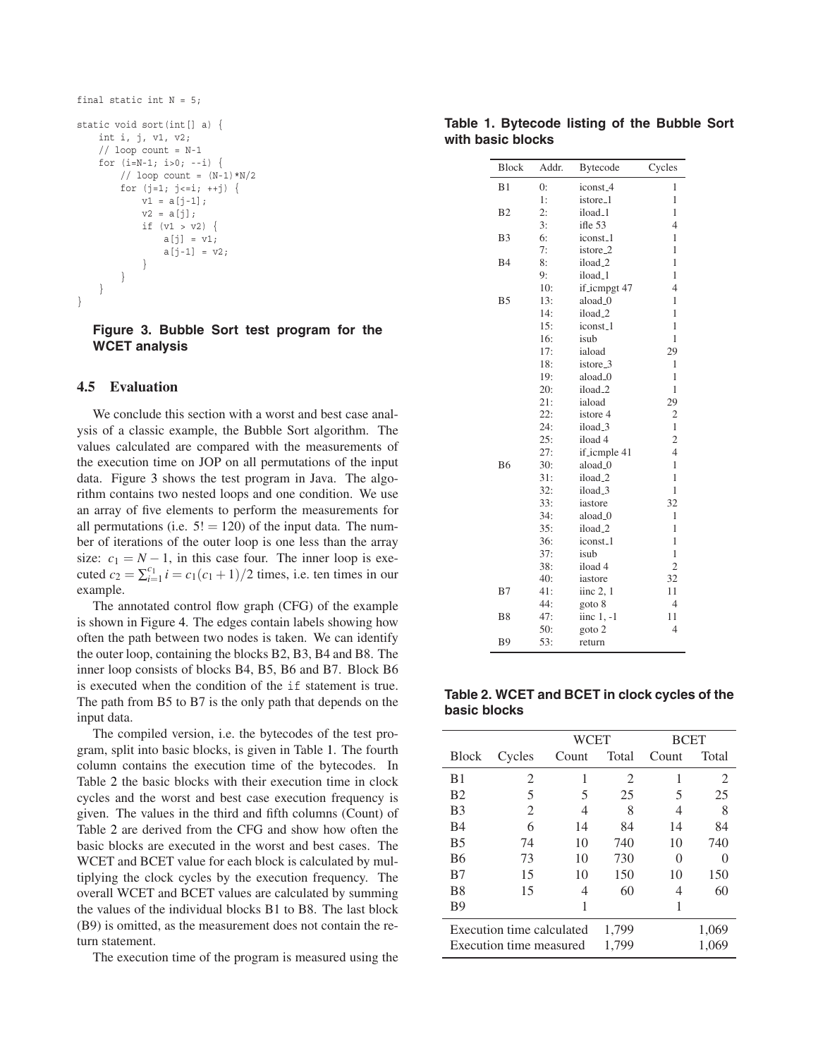```
final static int N = 5;
static void sort(int[] a) {
   int i, j, v1, v2;
    // loop count = N-1
   for (i=N-1; i>0; -i) {
        // loop count = (N-1)*N/2for (j=1; j<=i; ++j) {
           v1 = a[j-1];v2 = a[j];if (v1 > v2) {
                a[j] = v1;a[j-1] = v2;}
        }
    }
}
```
**Figure 3. Bubble Sort test program for the WCET analysis**

#### **4.5 Evaluation**

We conclude this section with a worst and best case analysis of a classic example, the Bubble Sort algorithm. The values calculated are compared with the measurements of the execution time on JOP on all permutations of the input data. Figure 3 shows the test program in Java. The algorithm contains two nested loops and one condition. We use an array of five elements to perform the measurements for all permutations (i.e.  $5! = 120$ ) of the input data. The number of iterations of the outer loop is one less than the array size:  $c_1 = N - 1$ , in this case four. The inner loop is executed  $c_2 = \sum_{i=1}^{c_1} i = c_1(c_1 + 1)/2$  times, i.e. ten times in our example.

The annotated control flow graph (CFG) of the example is shown in Figure 4. The edges contain labels showing how often the path between two nodes is taken. We can identify the outer loop, containing the blocks B2, B3, B4 and B8. The inner loop consists of blocks B4, B5, B6 and B7. Block B6 is executed when the condition of the if statement is true. The path from B5 to B7 is the only path that depends on the input data.

The compiled version, i.e. the bytecodes of the test program, split into basic blocks, is given in Table 1. The fourth column contains the execution time of the bytecodes. In Table 2 the basic blocks with their execution time in clock cycles and the worst and best case execution frequency is given. The values in the third and fifth columns (Count) of Table 2 are derived from the CFG and show how often the basic blocks are executed in the worst and best cases. The WCET and BCET value for each block is calculated by multiplying the clock cycles by the execution frequency. The overall WCET and BCET values are calculated by summing the values of the individual blocks B1 to B8. The last block (B9) is omitted, as the measurement does not contain the return statement.

The execution time of the program is measured using the

| Table 1. Bytecode listing of the Bubble Sort |  |  |  |
|----------------------------------------------|--|--|--|
| with basic blocks                            |  |  |  |

| <b>Block</b>   | Addr. | <b>Bytecode</b>      | Cycles         |  |
|----------------|-------|----------------------|----------------|--|
| B <sub>1</sub> | 0:    | iconst_4             | 1              |  |
|                | 1:    | istore_1             | 1              |  |
| B <sub>2</sub> | 2:    | iload_1              | 1              |  |
|                | 3:    | ifle 53              | $\overline{4}$ |  |
| B <sub>3</sub> | 6:    | iconst <sub>-1</sub> | 1              |  |
|                | 7:    | istore_2             | 1              |  |
| <b>B4</b>      | 8:    | iload_2              | 1              |  |
|                | 9:    | iload_1              | 1              |  |
|                | 10:   | if_icmpgt 47         | $\overline{4}$ |  |
| B <sub>5</sub> | 13:   | aload_0              | 1              |  |
|                | 14:   | iload_2              | 1              |  |
|                | 15:   | iconst_1             | 1              |  |
|                | 16:   | isub                 | 1              |  |
|                | 17:   | iaload               | 29             |  |
|                | 18:   | istore_3             | 1              |  |
|                | 19:   | aload_0              | 1              |  |
|                | 20:   | iload_2              | 1              |  |
|                | 21:   | iaload               | 29             |  |
|                | 22:   | istore 4             | $\overline{2}$ |  |
|                | 24:   | iload_3              | $\mathbf{1}$   |  |
|                | 25:   | iload 4              | $\overline{c}$ |  |
|                | 27:   | if_icmple 41         | $\overline{4}$ |  |
| <b>B6</b>      | 30:   | aload_0              | $\mathbf{1}$   |  |
|                | 31:   | iload_2              | 1              |  |
|                | 32:   | iload_3              | 1              |  |
|                | 33:   | iastore              | 32             |  |
|                | 34:   | aload_0              | 1              |  |
|                | 35:   | iload_2              | 1              |  |
|                | 36:   | iconst_1             | 1              |  |
|                | 37:   | isub                 | 1              |  |
|                | 38:   | iload 4              | $\overline{2}$ |  |
|                | 40:   | iastore              | 32             |  |
| B7             | 41:   | iinc 2, 1            | 11             |  |
|                | 44:   | goto 8               | $\overline{4}$ |  |
| B <sub>8</sub> | 47:   | iinc 1, -1           | 11             |  |
|                | 50:   | goto 2               | $\overline{4}$ |  |
| <b>B</b> 9     | 53:   | return               |                |  |

**Table 2. WCET and BCET in clock cycles of the basic blocks**

|                           |        |       | <b>WCET</b> |       | <b>BCET</b> |  |
|---------------------------|--------|-------|-------------|-------|-------------|--|
| <b>Block</b>              | Cycles | Count | Total       | Count | Total       |  |
| B <sub>1</sub>            | 2      | 1     | 2           | 1     | 2           |  |
| B <sub>2</sub>            | 5      | 5     | 25          | 5     | 25          |  |
| B <sub>3</sub>            | 2      | 4     | 8           | 4     | 8           |  |
| B <sub>4</sub>            | 6      | 14    | 84          | 14    | 84          |  |
| B <sub>5</sub>            | 74     | 10    | 740         | 10    | 740         |  |
| <b>B6</b>                 | 73     | 10    | 730         | 0     |             |  |
| B7                        | 15     | 10    | 150         | 10    | 150         |  |
| B <sub>8</sub>            | 15     | 4     | 60          | 4     | 60          |  |
| <b>B9</b>                 |        |       |             |       |             |  |
| Execution time calculated |        | 1,799 |             | 1,069 |             |  |
| Execution time measured   |        | 1,799 |             | 1,069 |             |  |